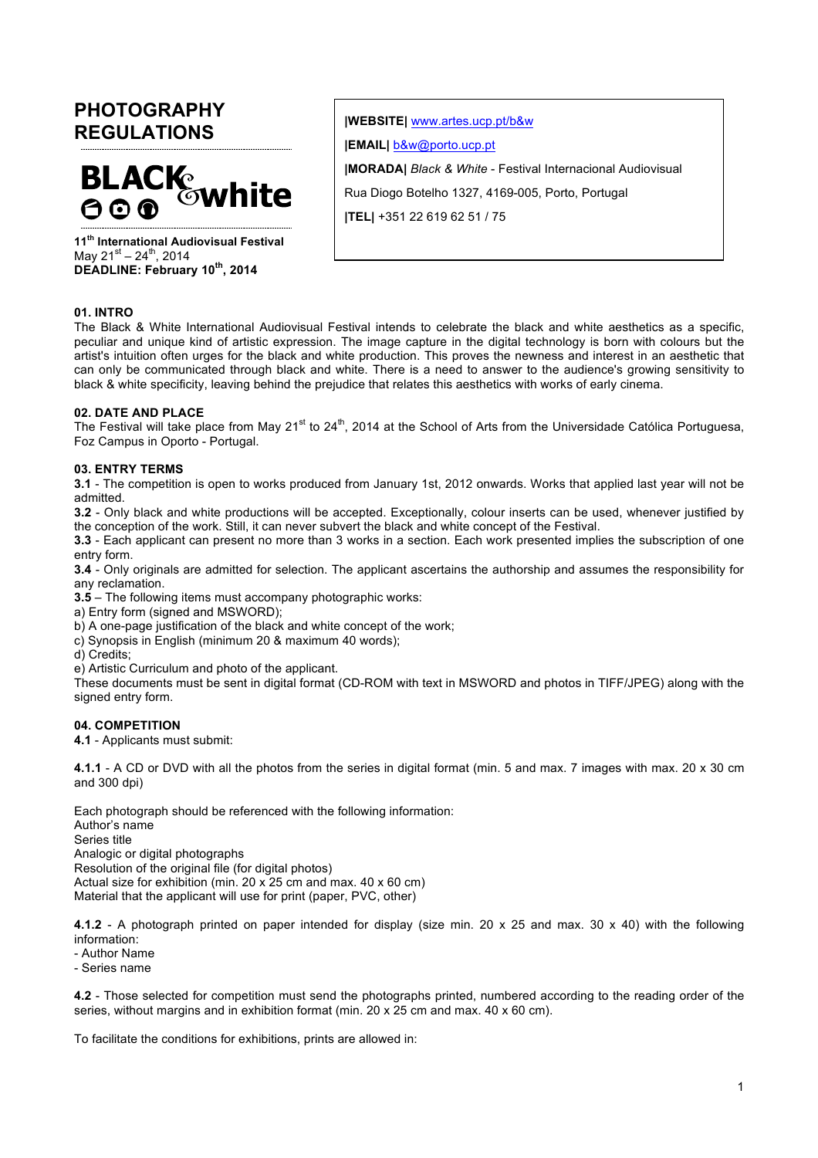# **PHOTOGRAPHY REGULATIONS**



**11th International Audiovisual Festival** May  $21^{st} - 24^{th}$ , 2014 **DEADLINE: February 10th, 2014**

**|WEBSITE|** www.artes.ucp.pt/b&w

**|EMAIL|** b&w@porto.ucp.pt

**|MORADA|** *Black & White* - Festival Internacional Audiovisual

Rua Diogo Botelho 1327, 4169-005, Porto, Portugal

**|TEL|** +351 22 619 62 51 / 75

# **01. INTRO**

The Black & White International Audiovisual Festival intends to celebrate the black and white aesthetics as a specific, peculiar and unique kind of artistic expression. The image capture in the digital technology is born with colours but the artist's intuition often urges for the black and white production. This proves the newness and interest in an aesthetic that can only be communicated through black and white. There is a need to answer to the audience's growing sensitivity to black & white specificity, leaving behind the prejudice that relates this aesthetics with works of early cinema.

# **02. DATE AND PLACE**

The Festival will take place from May  $21^{st}$  to  $24^{th}$ , 2014 at the School of Arts from the Universidade Católica Portuguesa, Foz Campus in Oporto - Portugal.

# **03. ENTRY TERMS**

**3.1** - The competition is open to works produced from January 1st, 2012 onwards. Works that applied last year will not be admitted.

**3.2** - Only black and white productions will be accepted. Exceptionally, colour inserts can be used, whenever justified by the conception of the work. Still, it can never subvert the black and white concept of the Festival.

**3.3** - Each applicant can present no more than 3 works in a section. Each work presented implies the subscription of one entry form.

**3.4** - Only originals are admitted for selection. The applicant ascertains the authorship and assumes the responsibility for any reclamation.

**3.5** – The following items must accompany photographic works:

a) Entry form (signed and MSWORD);

b) A one-page justification of the black and white concept of the work;

- c) Synopsis in English (minimum 20 & maximum 40 words);
- d) Credits;
- e) Artistic Curriculum and photo of the applicant.

These documents must be sent in digital format (CD-ROM with text in MSWORD and photos in TIFF/JPEG) along with the signed entry form.

# **04. COMPETITION**

**4.1** - Applicants must submit:

**4.1.1** - A CD or DVD with all the photos from the series in digital format (min. 5 and max. 7 images with max. 20 x 30 cm and 300 dpi)

Each photograph should be referenced with the following information:

Author's name

Series title

Analogic or digital photographs Resolution of the original file (for digital photos)

Actual size for exhibition (min. 20 x 25 cm and max. 40 x 60 cm)

Material that the applicant will use for print (paper, PVC, other)

**4.1.2** - A photograph printed on paper intended for display (size min. 20 x 25 and max. 30 x 40) with the following information:

- Author Name

- Series name

**4.2** - Those selected for competition must send the photographs printed, numbered according to the reading order of the series, without margins and in exhibition format (min. 20 x 25 cm and max. 40 x 60 cm).

To facilitate the conditions for exhibitions, prints are allowed in: